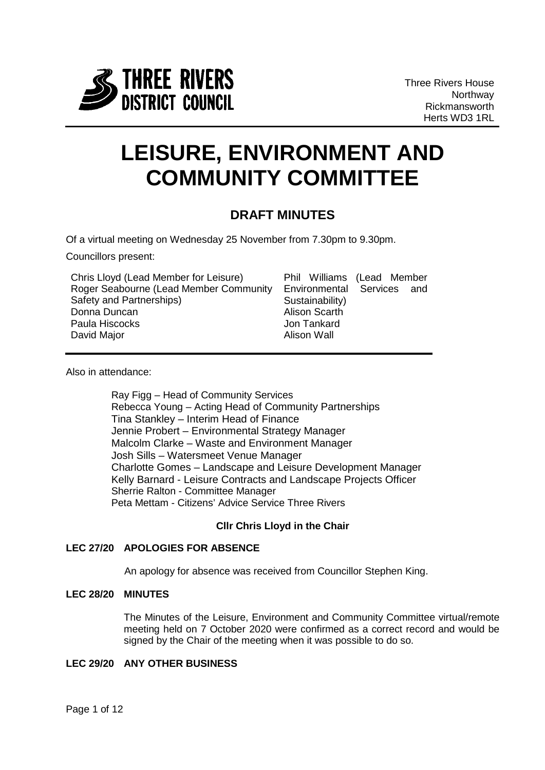

Three Rivers House **Northway** Rickmansworth Herts WD3 1RL

# **LEISURE, ENVIRONMENT AND COMMUNITY COMMITTEE**

# **DRAFT MINUTES**

Of a virtual meeting on Wednesday 25 November from 7.30pm to 9.30pm.

Councillors present:

| Chris Lloyd (Lead Member for Leisure)  |                 | Phil Williams (Lead Member |
|----------------------------------------|-----------------|----------------------------|
| Roger Seabourne (Lead Member Community |                 | Environmental Services and |
| Safety and Partnerships)               | Sustainability) |                            |
| Donna Duncan                           | Alison Scarth   |                            |
| Paula Hiscocks                         | Jon Tankard     |                            |
| David Major                            | Alison Wall     |                            |

Also in attendance:

Ray Figg – Head of Community Services Rebecca Young – Acting Head of Community Partnerships Tina Stankley – Interim Head of Finance Jennie Probert – Environmental Strategy Manager Malcolm Clarke – Waste and Environment Manager Josh Sills – Watersmeet Venue Manager Charlotte Gomes – Landscape and Leisure Development Manager Kelly Barnard - Leisure Contracts and Landscape Projects Officer Sherrie Ralton - Committee Manager Peta Mettam - Citizens' Advice Service Three Rivers

# **Cllr Chris Lloyd in the Chair**

# **LEC 27/20 APOLOGIES FOR ABSENCE**

An apology for absence was received from Councillor Stephen King.

#### **LEC 28/20 MINUTES**

The Minutes of the Leisure, Environment and Community Committee virtual/remote meeting held on 7 October 2020 were confirmed as a correct record and would be signed by the Chair of the meeting when it was possible to do so.

#### **LEC 29/20 ANY OTHER BUSINESS**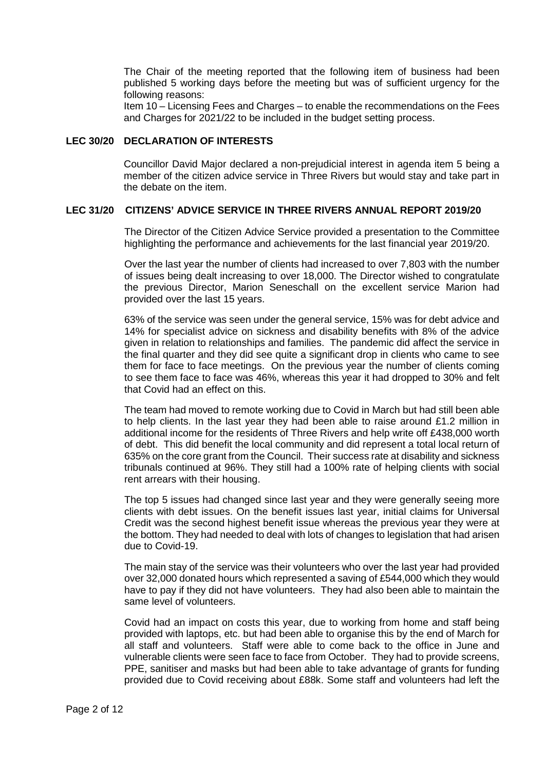The Chair of the meeting reported that the following item of business had been published 5 working days before the meeting but was of sufficient urgency for the following reasons:

Item 10 – Licensing Fees and Charges – to enable the recommendations on the Fees and Charges for 2021/22 to be included in the budget setting process.

#### **LEC 30/20 DECLARATION OF INTERESTS**

Councillor David Major declared a non-prejudicial interest in agenda item 5 being a member of the citizen advice service in Three Rivers but would stay and take part in the debate on the item.

# **LEC 31/20 CITIZENS' ADVICE SERVICE IN THREE RIVERS ANNUAL REPORT 2019/20**

The Director of the Citizen Advice Service provided a presentation to the Committee highlighting the performance and achievements for the last financial year 2019/20.

Over the last year the number of clients had increased to over 7,803 with the number of issues being dealt increasing to over 18,000. The Director wished to congratulate the previous Director, Marion Seneschall on the excellent service Marion had provided over the last 15 years.

63% of the service was seen under the general service, 15% was for debt advice and 14% for specialist advice on sickness and disability benefits with 8% of the advice given in relation to relationships and families. The pandemic did affect the service in the final quarter and they did see quite a significant drop in clients who came to see them for face to face meetings. On the previous year the number of clients coming to see them face to face was 46%, whereas this year it had dropped to 30% and felt that Covid had an effect on this.

The team had moved to remote working due to Covid in March but had still been able to help clients. In the last year they had been able to raise around £1.2 million in additional income for the residents of Three Rivers and help write off £438,000 worth of debt. This did benefit the local community and did represent a total local return of 635% on the core grant from the Council. Their success rate at disability and sickness tribunals continued at 96%. They still had a 100% rate of helping clients with social rent arrears with their housing.

The top 5 issues had changed since last year and they were generally seeing more clients with debt issues. On the benefit issues last year, initial claims for Universal Credit was the second highest benefit issue whereas the previous year they were at the bottom. They had needed to deal with lots of changes to legislation that had arisen due to Covid-19.

The main stay of the service was their volunteers who over the last year had provided over 32,000 donated hours which represented a saving of £544,000 which they would have to pay if they did not have volunteers. They had also been able to maintain the same level of volunteers.

Covid had an impact on costs this year, due to working from home and staff being provided with laptops, etc. but had been able to organise this by the end of March for all staff and volunteers. Staff were able to come back to the office in June and vulnerable clients were seen face to face from October. They had to provide screens, PPE, sanitiser and masks but had been able to take advantage of grants for funding provided due to Covid receiving about £88k. Some staff and volunteers had left the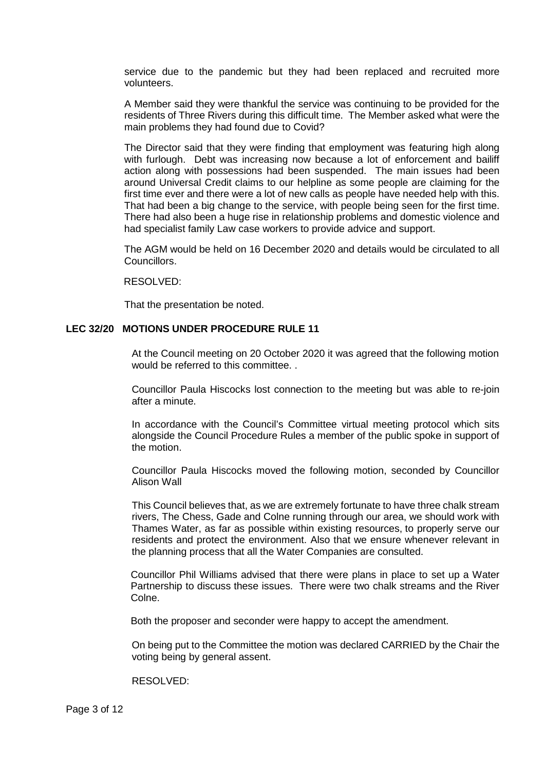service due to the pandemic but they had been replaced and recruited more volunteers.

A Member said they were thankful the service was continuing to be provided for the residents of Three Rivers during this difficult time. The Member asked what were the main problems they had found due to Covid?

The Director said that they were finding that employment was featuring high along with furlough. Debt was increasing now because a lot of enforcement and bailiff action along with possessions had been suspended. The main issues had been around Universal Credit claims to our helpline as some people are claiming for the first time ever and there were a lot of new calls as people have needed help with this. That had been a big change to the service, with people being seen for the first time. There had also been a huge rise in relationship problems and domestic violence and had specialist family Law case workers to provide advice and support.

The AGM would be held on 16 December 2020 and details would be circulated to all Councillors.

#### RESOLVED:

That the presentation be noted.

#### **LEC 32/20 MOTIONS UNDER PROCEDURE RULE 11**

At the Council meeting on 20 October 2020 it was agreed that the following motion would be referred to this committee. .

Councillor Paula Hiscocks lost connection to the meeting but was able to re-join after a minute.

In accordance with the Council's Committee virtual meeting protocol which sits alongside the Council Procedure Rules a member of the public spoke in support of the motion.

Councillor Paula Hiscocks moved the following motion, seconded by Councillor Alison Wall

This Council believes that, as we are extremely fortunate to have three chalk stream rivers, The Chess, Gade and Colne running through our area, we should work with Thames Water, as far as possible within existing resources, to properly serve our residents and protect the environment. Also that we ensure whenever relevant in the planning process that all the Water Companies are consulted.

Councillor Phil Williams advised that there were plans in place to set up a Water Partnership to discuss these issues. There were two chalk streams and the River Colne.

Both the proposer and seconder were happy to accept the amendment.

On being put to the Committee the motion was declared CARRIED by the Chair the voting being by general assent.

RESOLVED: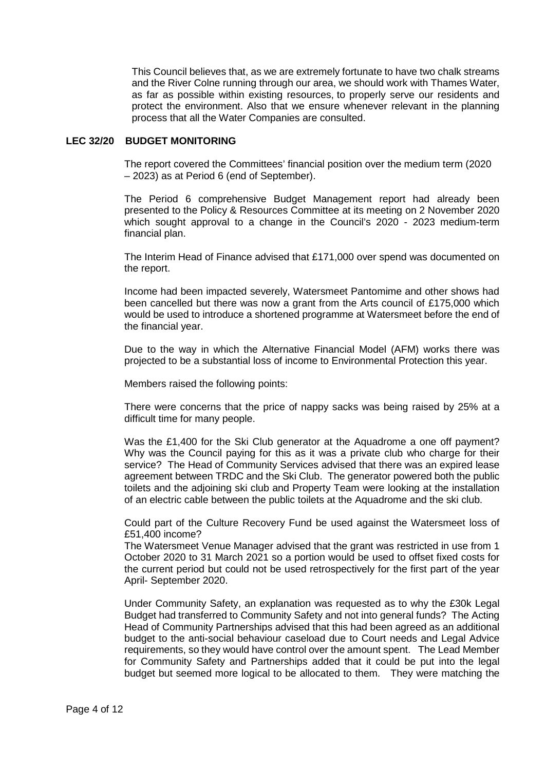This Council believes that, as we are extremely fortunate to have two chalk streams and the River Colne running through our area, we should work with Thames Water, as far as possible within existing resources, to properly serve our residents and protect the environment. Also that we ensure whenever relevant in the planning process that all the Water Companies are consulted.

#### **LEC 32/20 BUDGET MONITORING**

The report covered the Committees' financial position over the medium term (2020 – 2023) as at Period 6 (end of September).

The Period 6 comprehensive Budget Management report had already been presented to the Policy & Resources Committee at its meeting on 2 November 2020 which sought approval to a change in the Council's 2020 - 2023 medium-term financial plan.

The Interim Head of Finance advised that £171,000 over spend was documented on the report.

Income had been impacted severely, Watersmeet Pantomime and other shows had been cancelled but there was now a grant from the Arts council of £175,000 which would be used to introduce a shortened programme at Watersmeet before the end of the financial year.

Due to the way in which the Alternative Financial Model (AFM) works there was projected to be a substantial loss of income to Environmental Protection this year.

Members raised the following points:

There were concerns that the price of nappy sacks was being raised by 25% at a difficult time for many people.

Was the £1,400 for the Ski Club generator at the Aquadrome a one off payment? Why was the Council paying for this as it was a private club who charge for their service? The Head of Community Services advised that there was an expired lease agreement between TRDC and the Ski Club. The generator powered both the public toilets and the adjoining ski club and Property Team were looking at the installation of an electric cable between the public toilets at the Aquadrome and the ski club.

Could part of the Culture Recovery Fund be used against the Watersmeet loss of £51,400 income?

The Watersmeet Venue Manager advised that the grant was restricted in use from 1 October 2020 to 31 March 2021 so a portion would be used to offset fixed costs for the current period but could not be used retrospectively for the first part of the year April- September 2020.

Under Community Safety, an explanation was requested as to why the £30k Legal Budget had transferred to Community Safety and not into general funds? The Acting Head of Community Partnerships advised that this had been agreed as an additional budget to the anti-social behaviour caseload due to Court needs and Legal Advice requirements, so they would have control over the amount spent. The Lead Member for Community Safety and Partnerships added that it could be put into the legal budget but seemed more logical to be allocated to them. They were matching the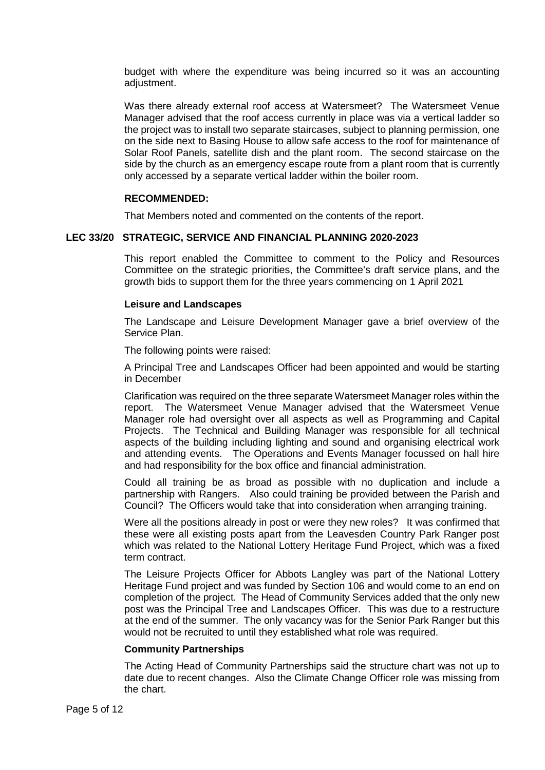budget with where the expenditure was being incurred so it was an accounting adjustment.

Was there already external roof access at Watersmeet? The Watersmeet Venue Manager advised that the roof access currently in place was via a vertical ladder so the project was to install two separate staircases, subject to planning permission, one on the side next to Basing House to allow safe access to the roof for maintenance of Solar Roof Panels, satellite dish and the plant room. The second staircase on the side by the church as an emergency escape route from a plant room that is currently only accessed by a separate vertical ladder within the boiler room.

# **RECOMMENDED:**

That Members noted and commented on the contents of the report.

# **LEC 33/20 STRATEGIC, SERVICE AND FINANCIAL PLANNING 2020-2023**

This report enabled the Committee to comment to the Policy and Resources Committee on the strategic priorities, the Committee's draft service plans, and the growth bids to support them for the three years commencing on 1 April 2021

# **Leisure and Landscapes**

The Landscape and Leisure Development Manager gave a brief overview of the Service Plan.

The following points were raised:

A Principal Tree and Landscapes Officer had been appointed and would be starting in December

Clarification was required on the three separate Watersmeet Manager roles within the report. The Watersmeet Venue Manager advised that the Watersmeet Venue Manager role had oversight over all aspects as well as Programming and Capital Projects. The Technical and Building Manager was responsible for all technical aspects of the building including lighting and sound and organising electrical work and attending events. The Operations and Events Manager focussed on hall hire and had responsibility for the box office and financial administration.

Could all training be as broad as possible with no duplication and include a partnership with Rangers. Also could training be provided between the Parish and Council? The Officers would take that into consideration when arranging training.

Were all the positions already in post or were they new roles? It was confirmed that these were all existing posts apart from the Leavesden Country Park Ranger post which was related to the National Lottery Heritage Fund Project, which was a fixed term contract.

The Leisure Projects Officer for Abbots Langley was part of the National Lottery Heritage Fund project and was funded by Section 106 and would come to an end on completion of the project. The Head of Community Services added that the only new post was the Principal Tree and Landscapes Officer. This was due to a restructure at the end of the summer. The only vacancy was for the Senior Park Ranger but this would not be recruited to until they established what role was required.

#### **Community Partnerships**

The Acting Head of Community Partnerships said the structure chart was not up to date due to recent changes. Also the Climate Change Officer role was missing from the chart.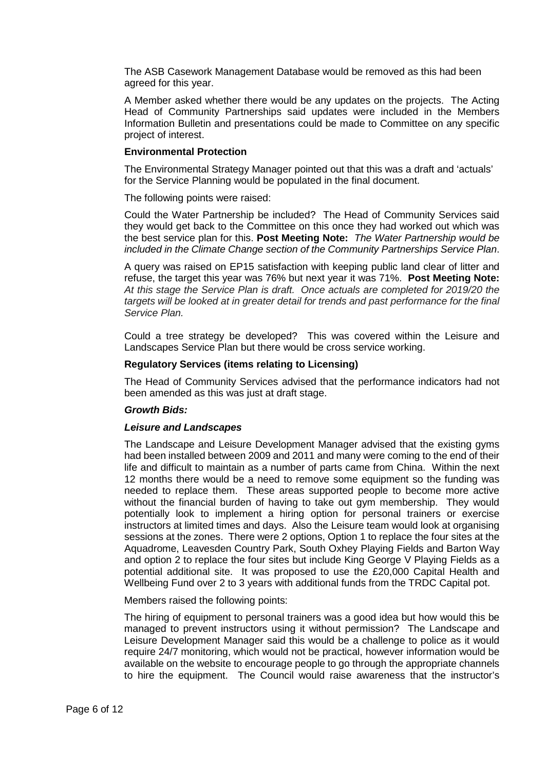The ASB Casework Management Database would be removed as this had been agreed for this year.

A Member asked whether there would be any updates on the projects. The Acting Head of Community Partnerships said updates were included in the Members Information Bulletin and presentations could be made to Committee on any specific project of interest.

#### **Environmental Protection**

The Environmental Strategy Manager pointed out that this was a draft and 'actuals' for the Service Planning would be populated in the final document.

The following points were raised:

Could the Water Partnership be included? The Head of Community Services said they would get back to the Committee on this once they had worked out which was the best service plan for this. **Post Meeting Note:** *The Water Partnership would be included in the Climate Change section of the Community Partnerships Service Plan*.

A query was raised on EP15 satisfaction with keeping public land clear of litter and refuse, the target this year was 76% but next year it was 71%. **Post Meeting Note:**  *At this stage the Service Plan is draft. Once actuals are completed for 2019/20 the targets will be looked at in greater detail for trends and past performance for the final Service Plan.*

Could a tree strategy be developed? This was covered within the Leisure and Landscapes Service Plan but there would be cross service working.

#### **Regulatory Services (items relating to Licensing)**

The Head of Community Services advised that the performance indicators had not been amended as this was just at draft stage.

#### *Growth Bids:*

#### *Leisure and Landscapes*

The Landscape and Leisure Development Manager advised that the existing gyms had been installed between 2009 and 2011 and many were coming to the end of their life and difficult to maintain as a number of parts came from China. Within the next 12 months there would be a need to remove some equipment so the funding was needed to replace them. These areas supported people to become more active without the financial burden of having to take out gym membership. They would potentially look to implement a hiring option for personal trainers or exercise instructors at limited times and days. Also the Leisure team would look at organising sessions at the zones. There were 2 options, Option 1 to replace the four sites at the Aquadrome, Leavesden Country Park, South Oxhey Playing Fields and Barton Way and option 2 to replace the four sites but include King George V Playing Fields as a potential additional site. It was proposed to use the £20,000 Capital Health and Wellbeing Fund over 2 to 3 years with additional funds from the TRDC Capital pot.

Members raised the following points:

The hiring of equipment to personal trainers was a good idea but how would this be managed to prevent instructors using it without permission? The Landscape and Leisure Development Manager said this would be a challenge to police as it would require 24/7 monitoring, which would not be practical, however information would be available on the website to encourage people to go through the appropriate channels to hire the equipment. The Council would raise awareness that the instructor's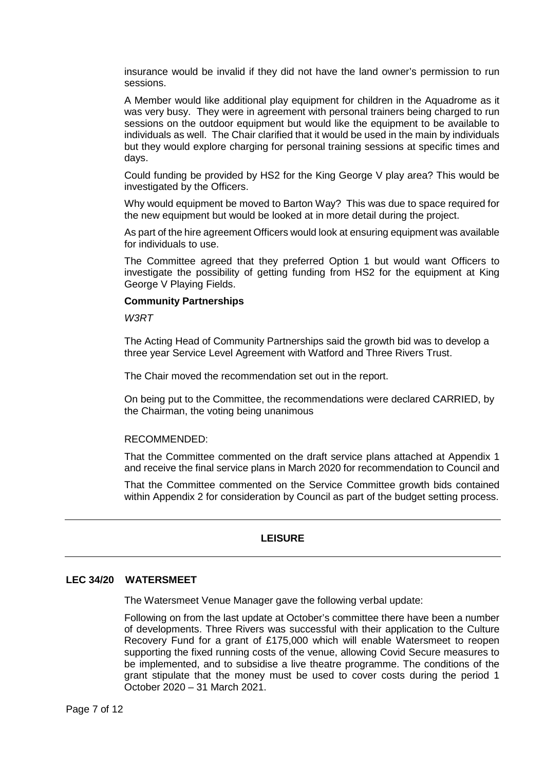insurance would be invalid if they did not have the land owner's permission to run sessions.

A Member would like additional play equipment for children in the Aquadrome as it was very busy. They were in agreement with personal trainers being charged to run sessions on the outdoor equipment but would like the equipment to be available to individuals as well. The Chair clarified that it would be used in the main by individuals but they would explore charging for personal training sessions at specific times and days.

Could funding be provided by HS2 for the King George V play area? This would be investigated by the Officers.

Why would equipment be moved to Barton Way? This was due to space required for the new equipment but would be looked at in more detail during the project.

As part of the hire agreement Officers would look at ensuring equipment was available for individuals to use.

The Committee agreed that they preferred Option 1 but would want Officers to investigate the possibility of getting funding from HS2 for the equipment at King George V Playing Fields.

#### **Community Partnerships**

*W3RT*

The Acting Head of Community Partnerships said the growth bid was to develop a three year Service Level Agreement with Watford and Three Rivers Trust.

The Chair moved the recommendation set out in the report.

On being put to the Committee, the recommendations were declared CARRIED, by the Chairman, the voting being unanimous

#### RECOMMENDED:

That the Committee commented on the draft service plans attached at Appendix 1 and receive the final service plans in March 2020 for recommendation to Council and

That the Committee commented on the Service Committee growth bids contained within Appendix 2 for consideration by Council as part of the budget setting process.

# **LEISURE**

# **LEC 34/20 WATERSMEET**

The Watersmeet Venue Manager gave the following verbal update:

Following on from the last update at October's committee there have been a number of developments. Three Rivers was successful with their application to the Culture Recovery Fund for a grant of £175,000 which will enable Watersmeet to reopen supporting the fixed running costs of the venue, allowing Covid Secure measures to be implemented, and to subsidise a live theatre programme. The conditions of the grant stipulate that the money must be used to cover costs during the period 1 October 2020 – 31 March 2021.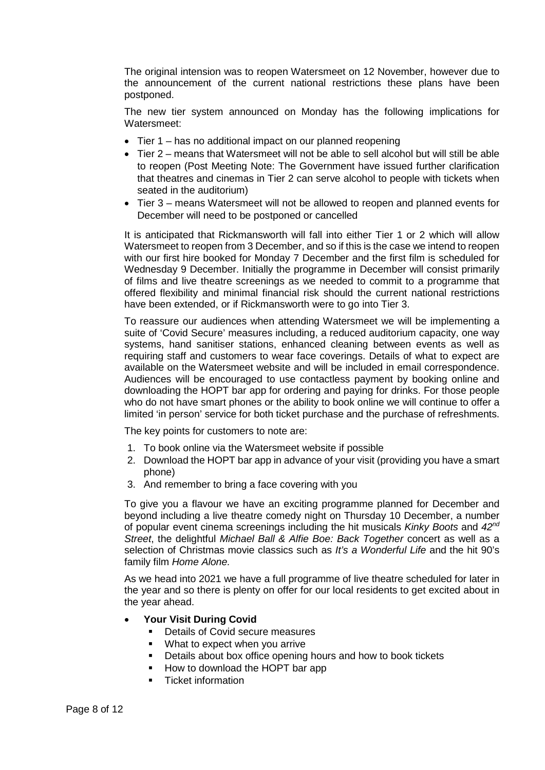The original intension was to reopen Watersmeet on 12 November, however due to the announcement of the current national restrictions these plans have been postponed.

The new tier system announced on Monday has the following implications for Watersmeet:

- Tier 1 has no additional impact on our planned reopening
- Tier 2 means that Watersmeet will not be able to sell alcohol but will still be able to reopen (Post Meeting Note: The Government have issued further clarification that theatres and cinemas in Tier 2 can serve alcohol to people with tickets when seated in the auditorium)
- Tier 3 means Watersmeet will not be allowed to reopen and planned events for December will need to be postponed or cancelled

It is anticipated that Rickmansworth will fall into either Tier 1 or 2 which will allow Watersmeet to reopen from 3 December, and so if this is the case we intend to reopen with our first hire booked for Monday 7 December and the first film is scheduled for Wednesday 9 December. Initially the programme in December will consist primarily of films and live theatre screenings as we needed to commit to a programme that offered flexibility and minimal financial risk should the current national restrictions have been extended, or if Rickmansworth were to go into Tier 3.

To reassure our audiences when attending Watersmeet we will be implementing a suite of 'Covid Secure' measures including, a reduced auditorium capacity, one way systems, hand sanitiser stations, enhanced cleaning between events as well as requiring staff and customers to wear face coverings. Details of what to expect are available on the Watersmeet website and will be included in email correspondence. Audiences will be encouraged to use contactless payment by booking online and downloading the HOPT bar app for ordering and paying for drinks. For those people who do not have smart phones or the ability to book online we will continue to offer a limited 'in person' service for both ticket purchase and the purchase of refreshments.

The key points for customers to note are:

- 1. To book online via the Watersmeet website if possible
- 2. Download the HOPT bar app in advance of your visit (providing you have a smart phone)
- 3. And remember to bring a face covering with you

To give you a flavour we have an exciting programme planned for December and beyond including a live theatre comedy night on Thursday 10 December, a number of popular event cinema screenings including the hit musicals *Kinky Boots* and *42nd Street*, the delightful *Michael Ball & Alfie Boe: Back Together* concert as well as a selection of Christmas movie classics such as *It's a Wonderful Life* and the hit 90's family film *Home Alone.*

As we head into 2021 we have a full programme of live theatre scheduled for later in the year and so there is plenty on offer for our local residents to get excited about in the year ahead.

- **Your Visit During Covid**
	- **•** Details of Covid secure measures
	- **What to expect when you arrive**
	- **Details about box office opening hours and how to book tickets**
	- How to download the HOPT bar app
	- Ticket information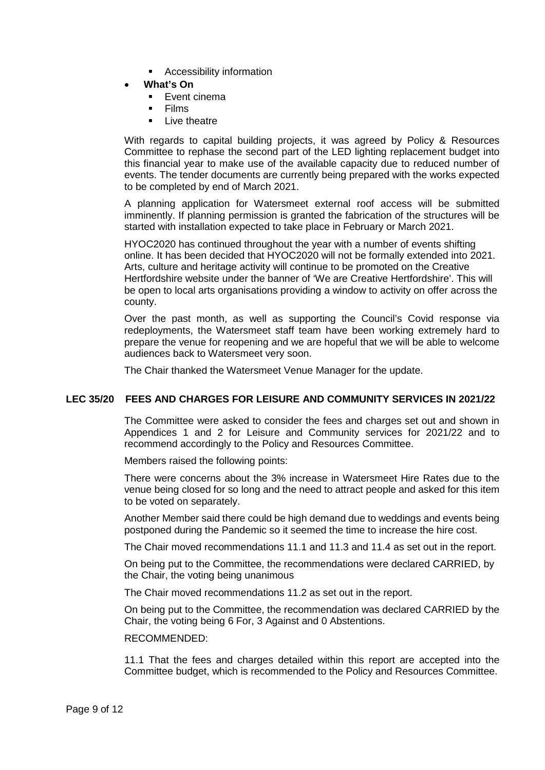- Accessibility information
- **What's On**
	- **Event cinema**
	- Films
	- Live theatre

With regards to capital building projects, it was agreed by Policy & Resources Committee to rephase the second part of the LED lighting replacement budget into this financial year to make use of the available capacity due to reduced number of events. The tender documents are currently being prepared with the works expected to be completed by end of March 2021.

A planning application for Watersmeet external roof access will be submitted imminently. If planning permission is granted the fabrication of the structures will be started with installation expected to take place in February or March 2021.

HYOC2020 has continued throughout the year with a number of events shifting online. It has been decided that HYOC2020 will not be formally extended into 2021. Arts, culture and heritage activity will continue to be promoted on the Creative Hertfordshire website under the banner of 'We are Creative Hertfordshire'. This will be open to local arts organisations providing a window to activity on offer across the county.

Over the past month, as well as supporting the Council's Covid response via redeployments, the Watersmeet staff team have been working extremely hard to prepare the venue for reopening and we are hopeful that we will be able to welcome audiences back to Watersmeet very soon.

The Chair thanked the Watersmeet Venue Manager for the update.

# **LEC 35/20 FEES AND CHARGES FOR LEISURE AND COMMUNITY SERVICES IN 2021/22**

The Committee were asked to consider the fees and charges set out and shown in Appendices 1 and 2 for Leisure and Community services for 2021/22 and to recommend accordingly to the Policy and Resources Committee.

Members raised the following points:

There were concerns about the 3% increase in Watersmeet Hire Rates due to the venue being closed for so long and the need to attract people and asked for this item to be voted on separately.

Another Member said there could be high demand due to weddings and events being postponed during the Pandemic so it seemed the time to increase the hire cost.

The Chair moved recommendations 11.1 and 11.3 and 11.4 as set out in the report.

On being put to the Committee, the recommendations were declared CARRIED, by the Chair, the voting being unanimous

The Chair moved recommendations 11.2 as set out in the report.

On being put to the Committee, the recommendation was declared CARRIED by the Chair, the voting being 6 For, 3 Against and 0 Abstentions.

#### RECOMMENDED:

11.1 That the fees and charges detailed within this report are accepted into the Committee budget, which is recommended to the Policy and Resources Committee.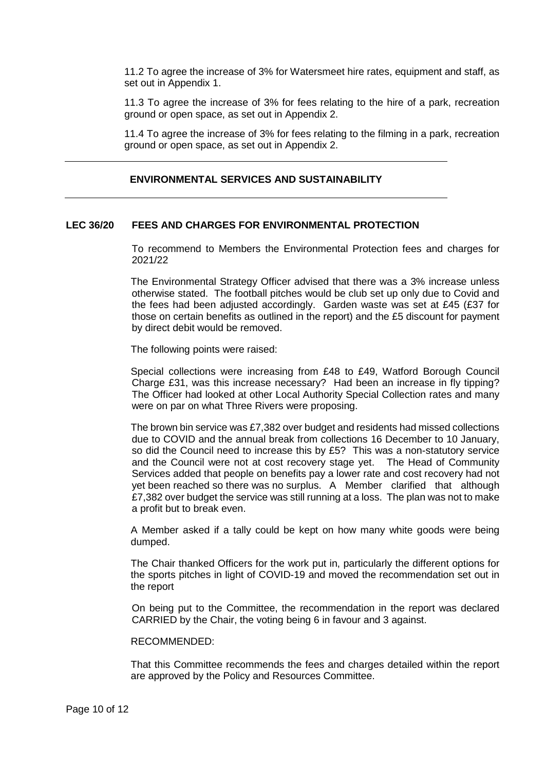11.2 To agree the increase of 3% for Watersmeet hire rates, equipment and staff, as set out in Appendix 1.

11.3 To agree the increase of 3% for fees relating to the hire of a park, recreation ground or open space, as set out in Appendix 2.

11.4 To agree the increase of 3% for fees relating to the filming in a park, recreation ground or open space, as set out in Appendix 2.

# **ENVIRONMENTAL SERVICES AND SUSTAINABILITY**

#### **LEC 36/20 FEES AND CHARGES FOR ENVIRONMENTAL PROTECTION**

To recommend to Members the Environmental Protection fees and charges for 2021/22

The Environmental Strategy Officer advised that there was a 3% increase unless otherwise stated. The football pitches would be club set up only due to Covid and the fees had been adjusted accordingly. Garden waste was set at £45 (£37 for those on certain benefits as outlined in the report) and the £5 discount for payment by direct debit would be removed.

The following points were raised:

Special collections were increasing from £48 to £49, Watford Borough Council Charge £31, was this increase necessary? Had been an increase in fly tipping? The Officer had looked at other Local Authority Special Collection rates and many were on par on what Three Rivers were proposing.

The brown bin service was £7,382 over budget and residents had missed collections due to COVID and the annual break from collections 16 December to 10 January, so did the Council need to increase this by £5? This was a non-statutory service and the Council were not at cost recovery stage yet. The Head of Community Services added that people on benefits pay a lower rate and cost recovery had not yet been reached so there was no surplus. A Member clarified that although £7,382 over budget the service was still running at a loss. The plan was not to make a profit but to break even.

A Member asked if a tally could be kept on how many white goods were being dumped.

The Chair thanked Officers for the work put in, particularly the different options for the sports pitches in light of COVID-19 and moved the recommendation set out in the report

On being put to the Committee, the recommendation in the report was declared CARRIED by the Chair, the voting being 6 in favour and 3 against.

#### RECOMMENDED:

That this Committee recommends the fees and charges detailed within the report are approved by the Policy and Resources Committee.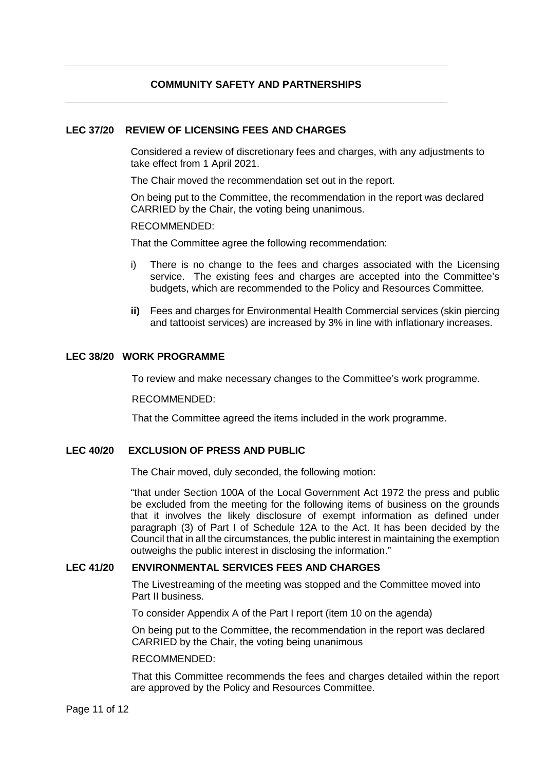# **COMMUNITY SAFETY AND PARTNERSHIPS**

# **LEC 37/20 REVIEW OF LICENSING FEES AND CHARGES**

Considered a review of discretionary fees and charges, with any adjustments to take effect from 1 April 2021.

The Chair moved the recommendation set out in the report.

On being put to the Committee, the recommendation in the report was declared CARRIED by the Chair, the voting being unanimous.

RECOMMENDED:

That the Committee agree the following recommendation:

- i) There is no change to the fees and charges associated with the Licensing service. The existing fees and charges are accepted into the Committee's budgets, which are recommended to the Policy and Resources Committee.
- **ii)** Fees and charges for Environmental Health Commercial services (skin piercing and tattooist services) are increased by 3% in line with inflationary increases.

# **LEC 38/20 WORK PROGRAMME**

To review and make necessary changes to the Committee's work programme.

RECOMMENDED:

That the Committee agreed the items included in the work programme.

# **LEC 40/20 EXCLUSION OF PRESS AND PUBLIC**

The Chair moved, duly seconded, the following motion:

"that under Section 100A of the Local Government Act 1972 the press and public be excluded from the meeting for the following items of business on the grounds that it involves the likely disclosure of exempt information as defined under paragraph (3) of Part I of Schedule 12A to the Act. It has been decided by the Council that in all the circumstances, the public interest in maintaining the exemption outweighs the public interest in disclosing the information."

#### **LEC 41/20 ENVIRONMENTAL SERVICES FEES AND CHARGES**

The Livestreaming of the meeting was stopped and the Committee moved into Part II business.

To consider Appendix A of the Part I report (item 10 on the agenda)

On being put to the Committee, the recommendation in the report was declared CARRIED by the Chair, the voting being unanimous

#### RECOMMENDED:

That this Committee recommends the fees and charges detailed within the report are approved by the Policy and Resources Committee.